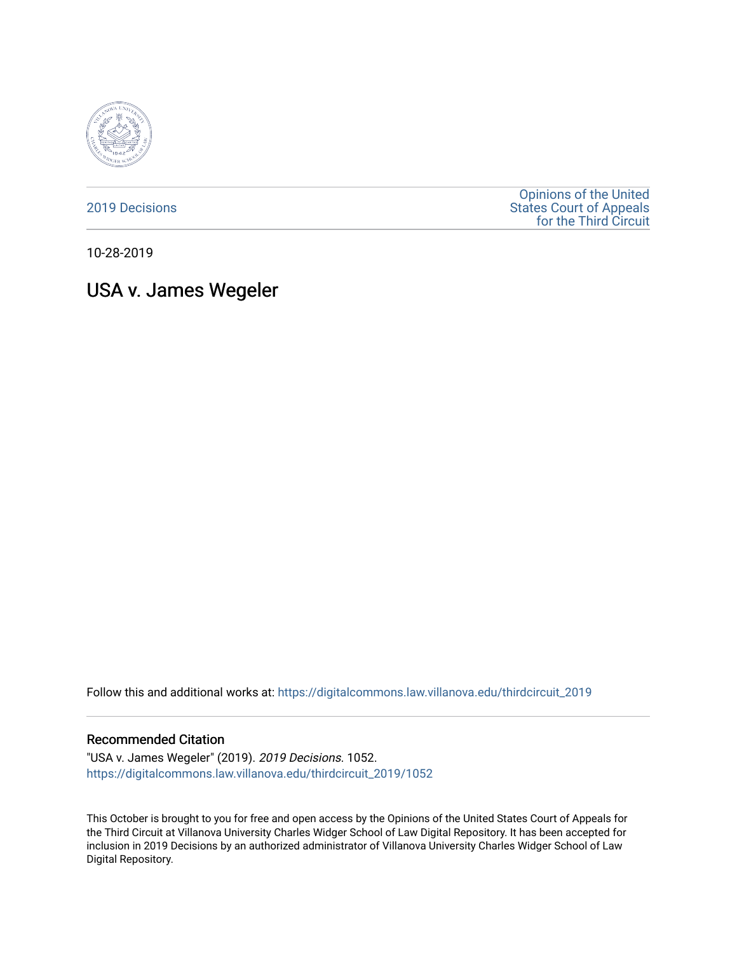

[2019 Decisions](https://digitalcommons.law.villanova.edu/thirdcircuit_2019)

[Opinions of the United](https://digitalcommons.law.villanova.edu/thirdcircuit)  [States Court of Appeals](https://digitalcommons.law.villanova.edu/thirdcircuit)  [for the Third Circuit](https://digitalcommons.law.villanova.edu/thirdcircuit) 

10-28-2019

# USA v. James Wegeler

Follow this and additional works at: [https://digitalcommons.law.villanova.edu/thirdcircuit\\_2019](https://digitalcommons.law.villanova.edu/thirdcircuit_2019?utm_source=digitalcommons.law.villanova.edu%2Fthirdcircuit_2019%2F1052&utm_medium=PDF&utm_campaign=PDFCoverPages) 

#### Recommended Citation

"USA v. James Wegeler" (2019). 2019 Decisions. 1052. [https://digitalcommons.law.villanova.edu/thirdcircuit\\_2019/1052](https://digitalcommons.law.villanova.edu/thirdcircuit_2019/1052?utm_source=digitalcommons.law.villanova.edu%2Fthirdcircuit_2019%2F1052&utm_medium=PDF&utm_campaign=PDFCoverPages) 

This October is brought to you for free and open access by the Opinions of the United States Court of Appeals for the Third Circuit at Villanova University Charles Widger School of Law Digital Repository. It has been accepted for inclusion in 2019 Decisions by an authorized administrator of Villanova University Charles Widger School of Law Digital Repository.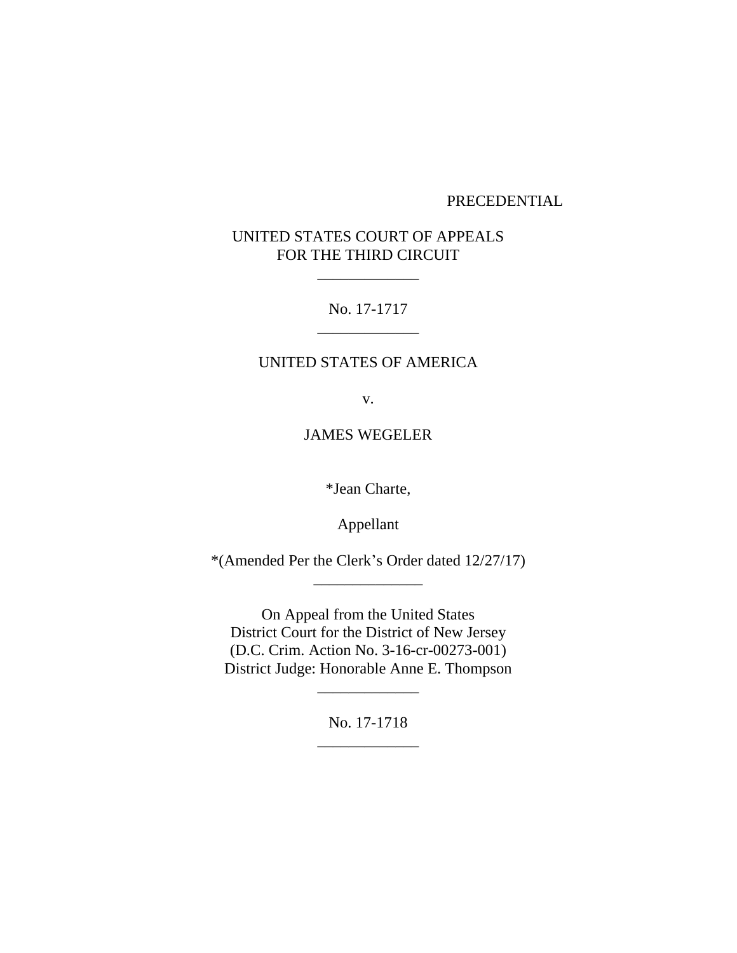# PRECEDENTIAL

# UNITED STATES COURT OF APPEALS FOR THE THIRD CIRCUIT

\_\_\_\_\_\_\_\_\_\_\_\_\_

No. 17-1717 \_\_\_\_\_\_\_\_\_\_\_\_\_

#### UNITED STATES OF AMERICA

v.

JAMES WEGELER

\*Jean Charte,

Appellant

\*(Amended Per the Clerk's Order dated 12/27/17) \_\_\_\_\_\_\_\_\_\_\_\_\_\_

On Appeal from the United States District Court for the District of New Jersey (D.C. Crim. Action No. 3-16-cr-00273-001) District Judge: Honorable Anne E. Thompson

> No. 17-1718 \_\_\_\_\_\_\_\_\_\_\_\_\_

> \_\_\_\_\_\_\_\_\_\_\_\_\_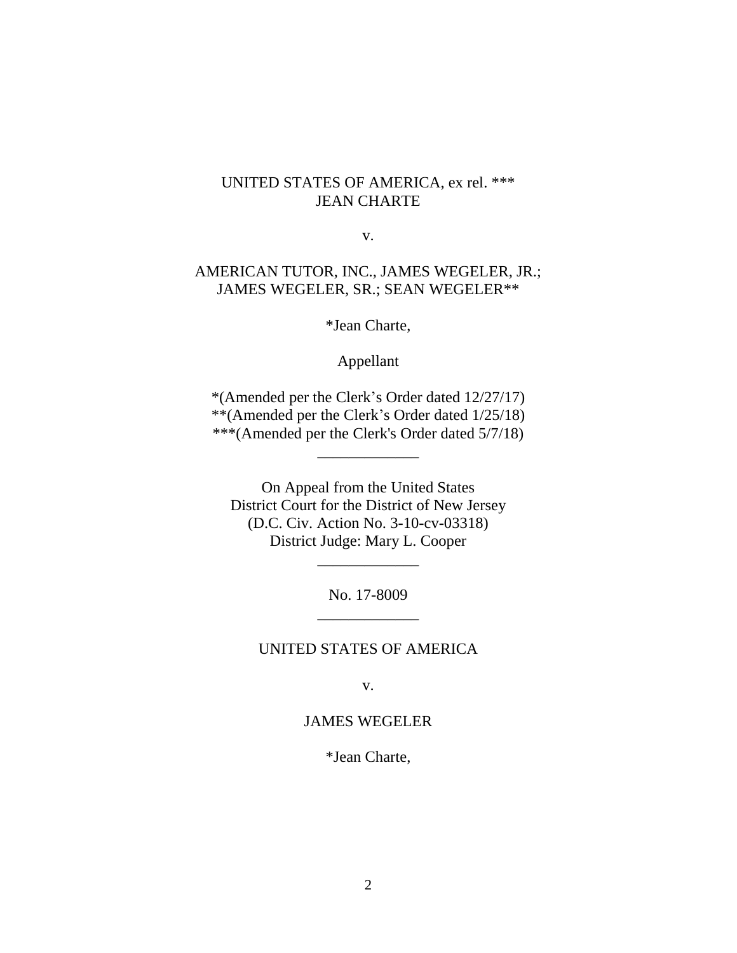# UNITED STATES OF AMERICA, ex rel. \*\*\* JEAN CHARTE

v.

# AMERICAN TUTOR, INC., JAMES WEGELER, JR.; JAMES WEGELER, SR.; SEAN WEGELER\*\*

\*Jean Charte,

Appellant

\*(Amended per the Clerk's Order dated 12/27/17) \*\*(Amended per the Clerk's Order dated 1/25/18) \*\*\*(Amended per the Clerk's Order dated 5/7/18)

\_\_\_\_\_\_\_\_\_\_\_\_\_

On Appeal from the United States District Court for the District of New Jersey (D.C. Civ. Action No. 3-10-cv-03318) District Judge: Mary L. Cooper

> No. 17-8009 \_\_\_\_\_\_\_\_\_\_\_\_\_

> \_\_\_\_\_\_\_\_\_\_\_\_\_

# UNITED STATES OF AMERICA

v.

# JAMES WEGELER

\*Jean Charte,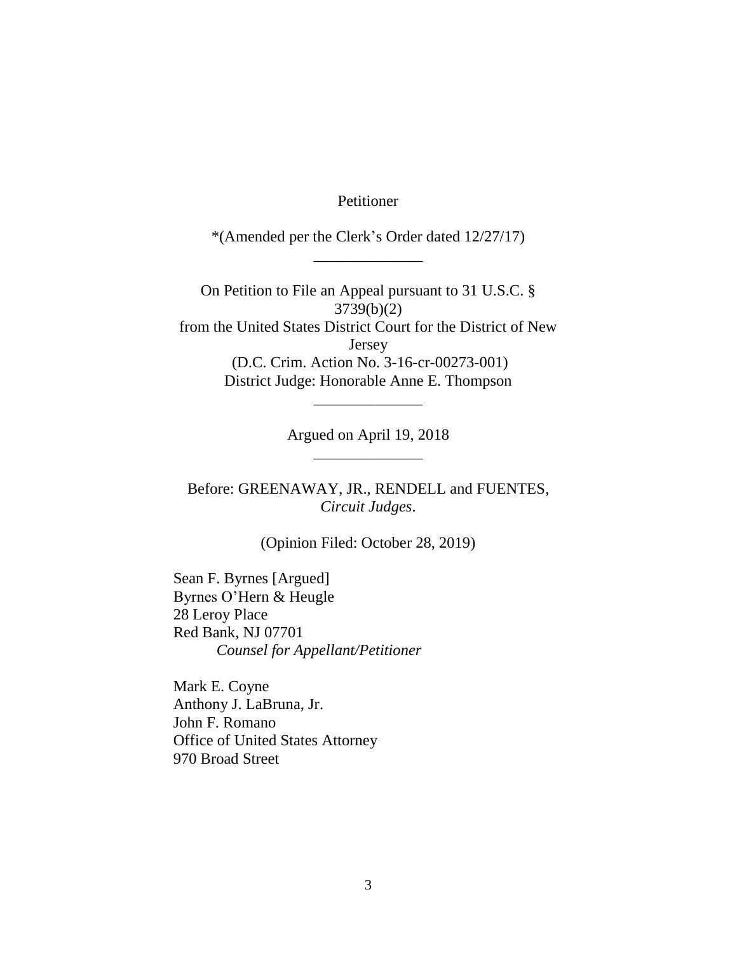Petitioner

\*(Amended per the Clerk's Order dated 12/27/17) \_\_\_\_\_\_\_\_\_\_\_\_\_\_

On Petition to File an Appeal pursuant to 31 U.S.C. § 3739(b)(2) from the United States District Court for the District of New Jersey (D.C. Crim. Action No. 3-16-cr-00273-001) District Judge: Honorable Anne E. Thompson

> Argued on April 19, 2018 \_\_\_\_\_\_\_\_\_\_\_\_\_\_

\_\_\_\_\_\_\_\_\_\_\_\_\_\_

Before: GREENAWAY, JR., RENDELL and FUENTES, *Circuit Judges*.

(Opinion Filed: October 28, 2019)

Sean F. Byrnes [Argued] Byrnes O'Hern & Heugle 28 Leroy Place Red Bank, NJ 07701 *Counsel for Appellant/Petitioner*

Mark E. Coyne Anthony J. LaBruna, Jr. John F. Romano Office of United States Attorney 970 Broad Street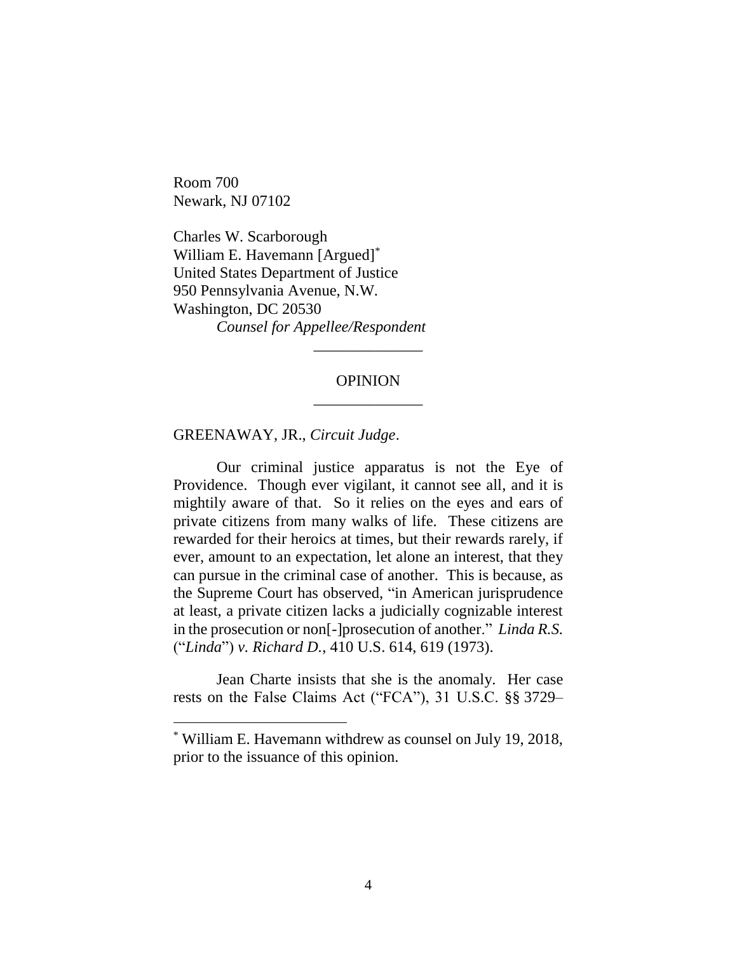Room 700 Newark, NJ 07102

 $\overline{a}$ 

Charles W. Scarborough William E. Havemann [Argued]\* United States Department of Justice 950 Pennsylvania Avenue, N.W. Washington, DC 20530 *Counsel for Appellee/Respondent*

# OPINION \_\_\_\_\_\_\_\_\_\_\_\_\_\_

\_\_\_\_\_\_\_\_\_\_\_\_\_\_

GREENAWAY, JR., *Circuit Judge*.

Our criminal justice apparatus is not the Eye of Providence. Though ever vigilant, it cannot see all, and it is mightily aware of that. So it relies on the eyes and ears of private citizens from many walks of life. These citizens are rewarded for their heroics at times, but their rewards rarely, if ever, amount to an expectation, let alone an interest, that they can pursue in the criminal case of another. This is because, as the Supreme Court has observed, "in American jurisprudence at least, a private citizen lacks a judicially cognizable interest in the prosecution or non[-]prosecution of another." *Linda R.S.*  ("*Linda*") *v. Richard D.*, 410 U.S. 614, 619 (1973).

Jean Charte insists that she is the anomaly. Her case rests on the False Claims Act ("FCA"), 31 U.S.C. §§ 3729–

<sup>\*</sup> William E. Havemann withdrew as counsel on July 19, 2018, prior to the issuance of this opinion.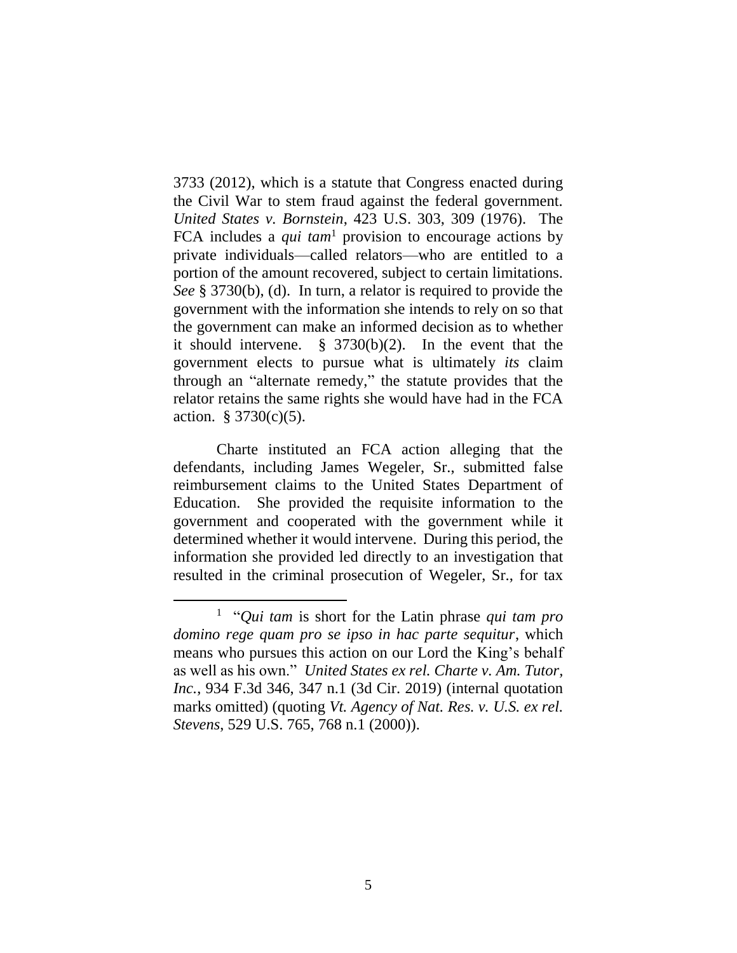3733 (2012), which is a statute that Congress enacted during the Civil War to stem fraud against the federal government. *United States v. Bornstein*, 423 U.S. 303, 309 (1976). The FCA includes a *qui tam*<sup>1</sup> provision to encourage actions by private individuals—called relators—who are entitled to a portion of the amount recovered, subject to certain limitations. *See* § 3730(b), (d). In turn, a relator is required to provide the government with the information she intends to rely on so that the government can make an informed decision as to whether it should intervene. § 3730(b)(2). In the event that the government elects to pursue what is ultimately *its* claim through an "alternate remedy," the statute provides that the relator retains the same rights she would have had in the FCA action.  $$3730(c)(5)$ .

Charte instituted an FCA action alleging that the defendants, including James Wegeler, Sr., submitted false reimbursement claims to the United States Department of Education. She provided the requisite information to the government and cooperated with the government while it determined whether it would intervene. During this period, the information she provided led directly to an investigation that resulted in the criminal prosecution of Wegeler, Sr., for tax

<sup>1</sup> "*Qui tam* is short for the Latin phrase *qui tam pro domino rege quam pro se ipso in hac parte sequitur*, which means who pursues this action on our Lord the King's behalf as well as his own." *United States ex rel. Charte v. Am. Tutor, Inc.*, 934 F.3d 346, 347 n.1 (3d Cir. 2019) (internal quotation marks omitted) (quoting *Vt. Agency of Nat. Res. v. U.S. ex rel. Stevens*, 529 U.S. 765, 768 n.1 (2000)).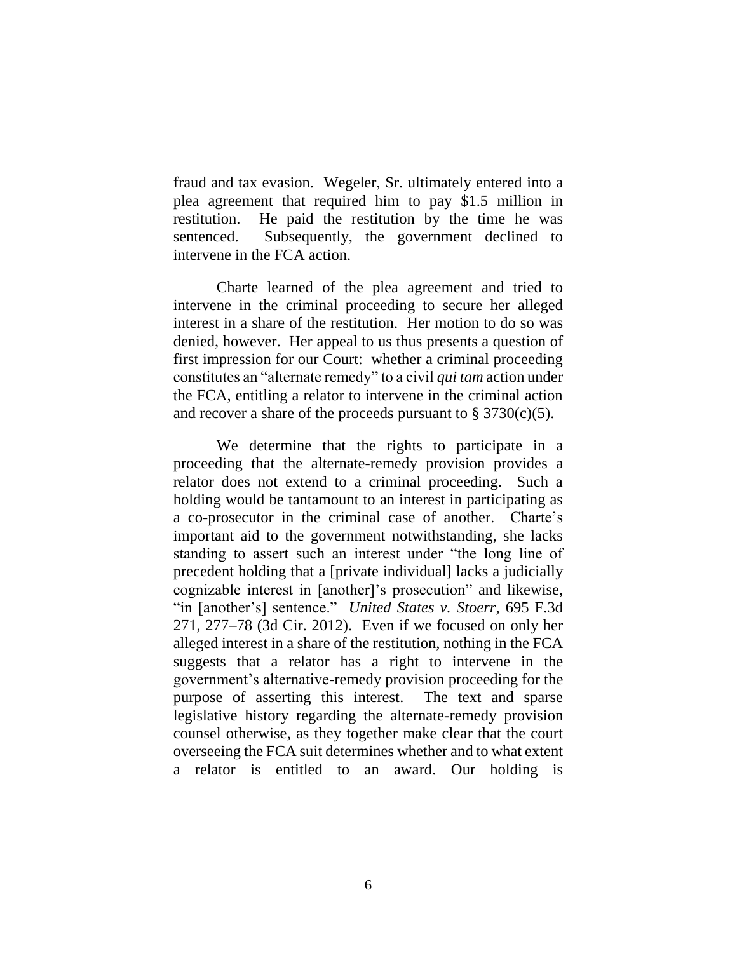fraud and tax evasion. Wegeler, Sr. ultimately entered into a plea agreement that required him to pay \$1.5 million in restitution. He paid the restitution by the time he was sentenced. Subsequently, the government declined to intervene in the FCA action.

Charte learned of the plea agreement and tried to intervene in the criminal proceeding to secure her alleged interest in a share of the restitution. Her motion to do so was denied, however. Her appeal to us thus presents a question of first impression for our Court: whether a criminal proceeding constitutes an "alternate remedy" to a civil *qui tam* action under the FCA, entitling a relator to intervene in the criminal action and recover a share of the proceeds pursuant to  $\S 3730(c)(5)$ .

We determine that the rights to participate in a proceeding that the alternate-remedy provision provides a relator does not extend to a criminal proceeding. Such a holding would be tantamount to an interest in participating as a co-prosecutor in the criminal case of another. Charte's important aid to the government notwithstanding, she lacks standing to assert such an interest under "the long line of precedent holding that a [private individual] lacks a judicially cognizable interest in [another]'s prosecution" and likewise, "in [another's] sentence." *United States v. Stoerr*, 695 F.3d 271, 277–78 (3d Cir. 2012). Even if we focused on only her alleged interest in a share of the restitution, nothing in the FCA suggests that a relator has a right to intervene in the government's alternative-remedy provision proceeding for the purpose of asserting this interest. The text and sparse legislative history regarding the alternate-remedy provision counsel otherwise, as they together make clear that the court overseeing the FCA suit determines whether and to what extent a relator is entitled to an award. Our holding is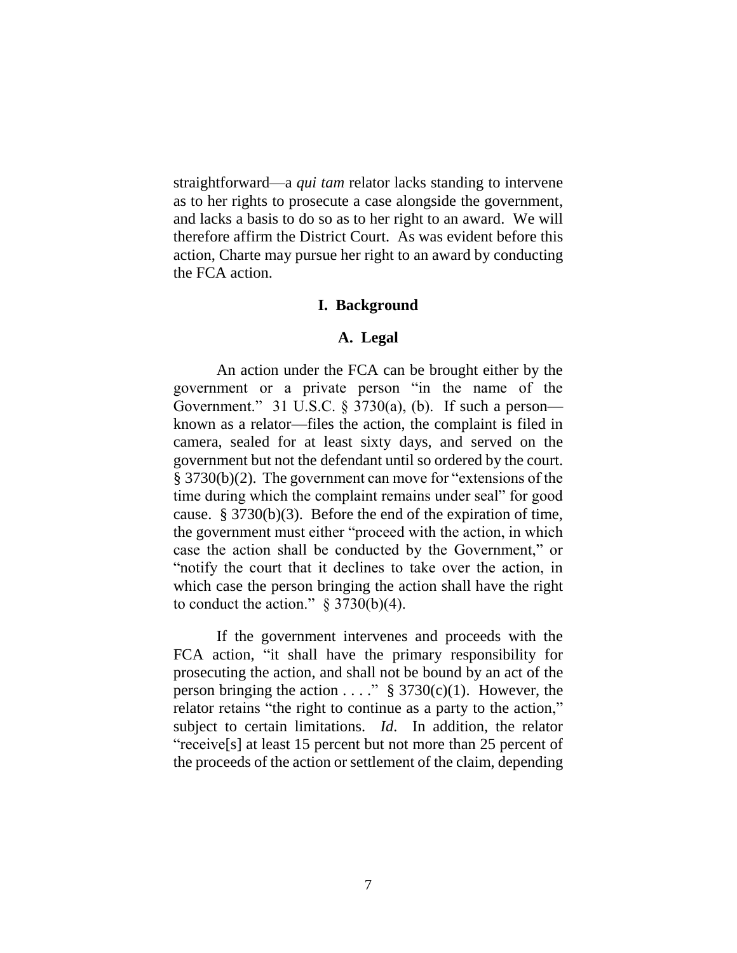straightforward—a *qui tam* relator lacks standing to intervene as to her rights to prosecute a case alongside the government, and lacks a basis to do so as to her right to an award. We will therefore affirm the District Court. As was evident before this action, Charte may pursue her right to an award by conducting the FCA action.

#### **I. Background**

# **A. Legal**

An action under the FCA can be brought either by the government or a private person "in the name of the Government." 31 U.S.C. § 3730(a), (b). If such a person known as a relator—files the action, the complaint is filed in camera, sealed for at least sixty days, and served on the government but not the defendant until so ordered by the court. § 3730(b)(2). The government can move for "extensions of the time during which the complaint remains under seal" for good cause. § 3730(b)(3). Before the end of the expiration of time, the government must either "proceed with the action, in which case the action shall be conducted by the Government," or "notify the court that it declines to take over the action, in which case the person bringing the action shall have the right to conduct the action."  $\S 3730(b)(4)$ .

If the government intervenes and proceeds with the FCA action, "it shall have the primary responsibility for prosecuting the action, and shall not be bound by an act of the person bringing the action . . . . "  $\S 3730(c)(1)$ . However, the relator retains "the right to continue as a party to the action," subject to certain limitations. *Id*. In addition, the relator "receive[s] at least 15 percent but not more than 25 percent of the proceeds of the action or settlement of the claim, depending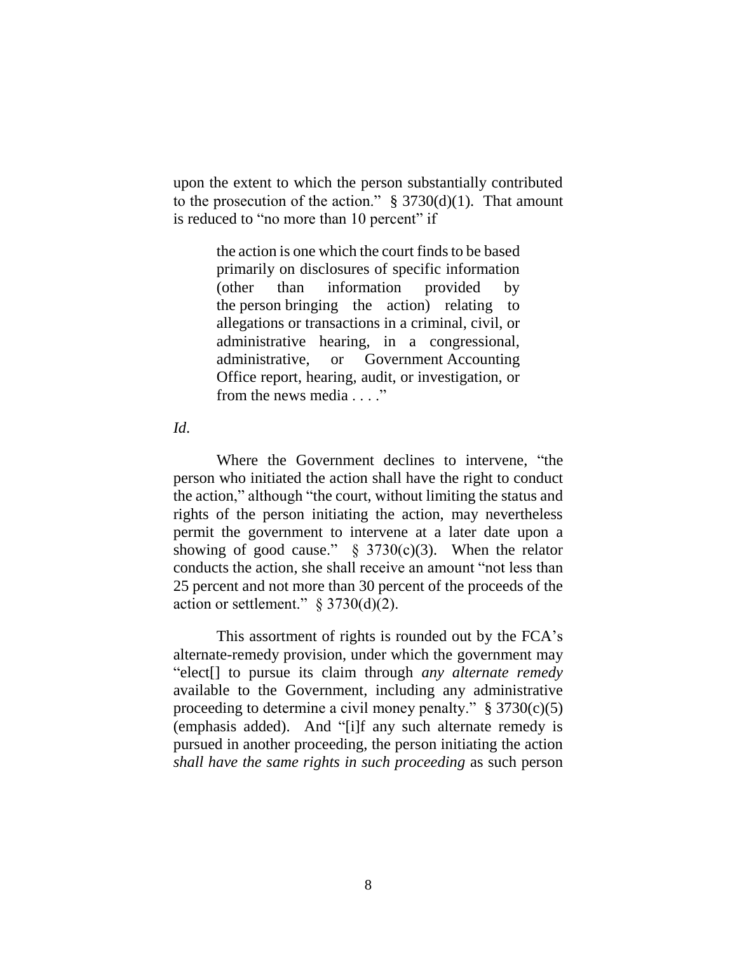upon the extent to which the person substantially contributed to the prosecution of the action."  $\S 3730(d)(1)$ . That amount is reduced to "no more than 10 percent" if

> the action is one which the court finds to be based primarily on disclosures of specific information (other than information provided by the person bringing the action) relating to allegations or transactions in a criminal, civil, or administrative hearing, in a congressional, administrative, or Government Accounting Office report, hearing, audit, or investigation, or from the news media . . . ."

*Id*.

Where the Government declines to intervene, "the person who initiated the action shall have the right to conduct the action," although "the court, without limiting the status and rights of the person initiating the action, may nevertheless permit the government to intervene at a later date upon a showing of good cause."  $\S$  3730(c)(3). When the relator conducts the action, she shall receive an amount "not less than 25 percent and not more than 30 percent of the proceeds of the action or settlement."  $\S 3730(d)(2)$ .

This assortment of rights is rounded out by the FCA's alternate-remedy provision, under which the government may "elect[] to pursue its claim through *any alternate remedy* available to the Government, including any administrative proceeding to determine a civil money penalty."  $\S 3730(c)(5)$ (emphasis added). And "[i]f any such alternate remedy is pursued in another proceeding, the person initiating the action *shall have the same rights in such proceeding* as such person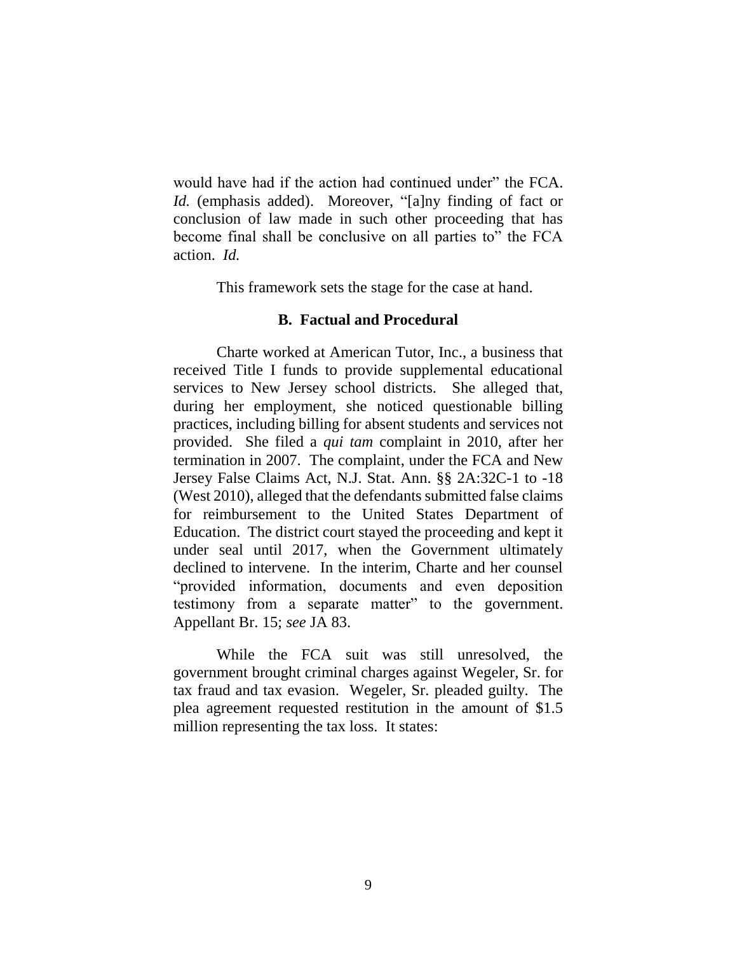would have had if the action had continued under" the FCA. *Id.* (emphasis added). Moreover, "[a]ny finding of fact or conclusion of law made in such other proceeding that has become final shall be conclusive on all parties to" the FCA action. *Id.*

This framework sets the stage for the case at hand.

# **B. Factual and Procedural**

Charte worked at American Tutor, Inc., a business that received Title I funds to provide supplemental educational services to New Jersey school districts. She alleged that, during her employment, she noticed questionable billing practices, including billing for absent students and services not provided. She filed a *qui tam* complaint in 2010, after her termination in 2007. The complaint, under the FCA and New Jersey False Claims Act, N.J. Stat. Ann. §§ 2A:32C-1 to -18 (West 2010), alleged that the defendants submitted false claims for reimbursement to the United States Department of Education. The district court stayed the proceeding and kept it under seal until 2017, when the Government ultimately declined to intervene. In the interim, Charte and her counsel "provided information, documents and even deposition testimony from a separate matter" to the government. Appellant Br. 15; *see* JA 83.

While the FCA suit was still unresolved, the government brought criminal charges against Wegeler, Sr. for tax fraud and tax evasion. Wegeler, Sr. pleaded guilty. The plea agreement requested restitution in the amount of \$1.5 million representing the tax loss. It states: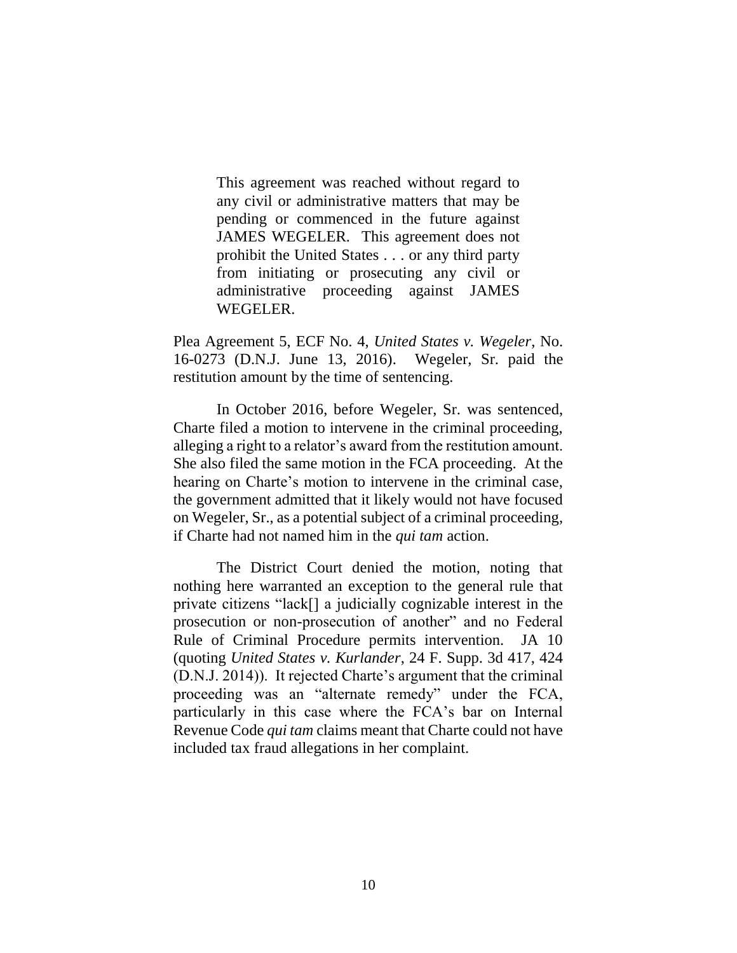This agreement was reached without regard to any civil or administrative matters that may be pending or commenced in the future against JAMES WEGELER. This agreement does not prohibit the United States . . . or any third party from initiating or prosecuting any civil or administrative proceeding against JAMES WEGELER.

Plea Agreement 5, ECF No. 4, *United States v. Wegeler*, No. 16-0273 (D.N.J. June 13, 2016). Wegeler, Sr. paid the restitution amount by the time of sentencing.

In October 2016, before Wegeler, Sr. was sentenced, Charte filed a motion to intervene in the criminal proceeding, alleging a right to a relator's award from the restitution amount. She also filed the same motion in the FCA proceeding. At the hearing on Charte's motion to intervene in the criminal case, the government admitted that it likely would not have focused on Wegeler, Sr., as a potential subject of a criminal proceeding, if Charte had not named him in the *qui tam* action.

The District Court denied the motion, noting that nothing here warranted an exception to the general rule that private citizens "lack[] a judicially cognizable interest in the prosecution or non-prosecution of another" and no Federal Rule of Criminal Procedure permits intervention. JA 10 (quoting *United States v. Kurlander*, 24 F. Supp. 3d 417, 424 (D.N.J. 2014)). It rejected Charte's argument that the criminal proceeding was an "alternate remedy" under the FCA, particularly in this case where the FCA's bar on Internal Revenue Code *qui tam* claims meant that Charte could not have included tax fraud allegations in her complaint.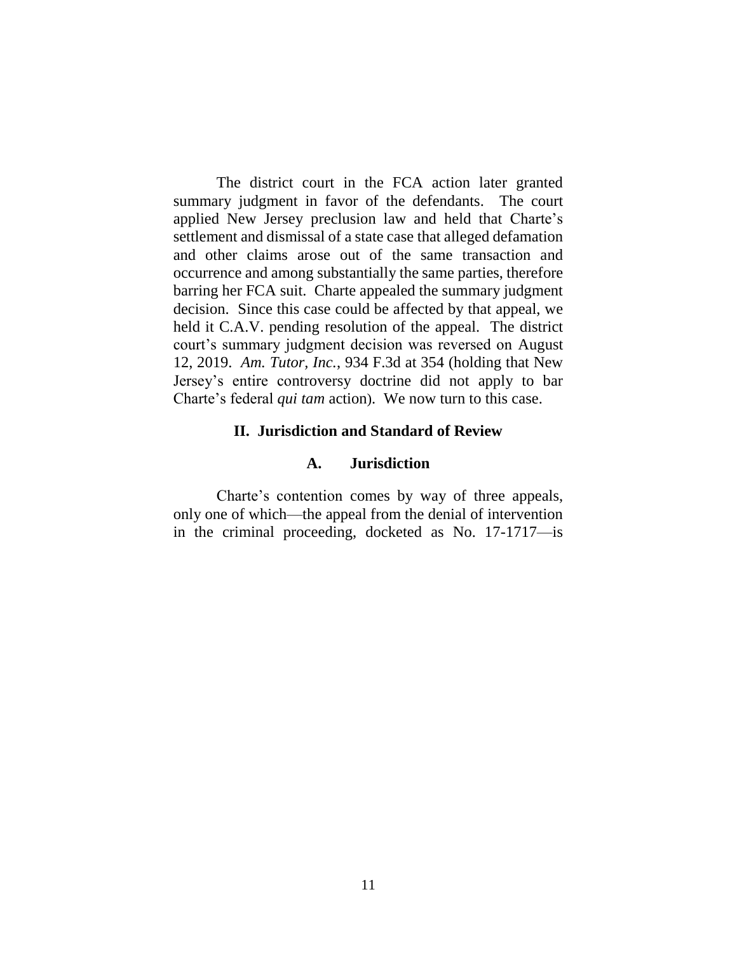The district court in the FCA action later granted summary judgment in favor of the defendants. The court applied New Jersey preclusion law and held that Charte's settlement and dismissal of a state case that alleged defamation and other claims arose out of the same transaction and occurrence and among substantially the same parties, therefore barring her FCA suit. Charte appealed the summary judgment decision. Since this case could be affected by that appeal, we held it C.A.V. pending resolution of the appeal. The district court's summary judgment decision was reversed on August 12, 2019. *Am. Tutor, Inc.*, 934 F.3d at 354 (holding that New Jersey's entire controversy doctrine did not apply to bar Charte's federal *qui tam* action). We now turn to this case.

# **II. Jurisdiction and Standard of Review**

#### **A. Jurisdiction**

Charte's contention comes by way of three appeals, only one of which—the appeal from the denial of intervention in the criminal proceeding, docketed as No. 17-1717—is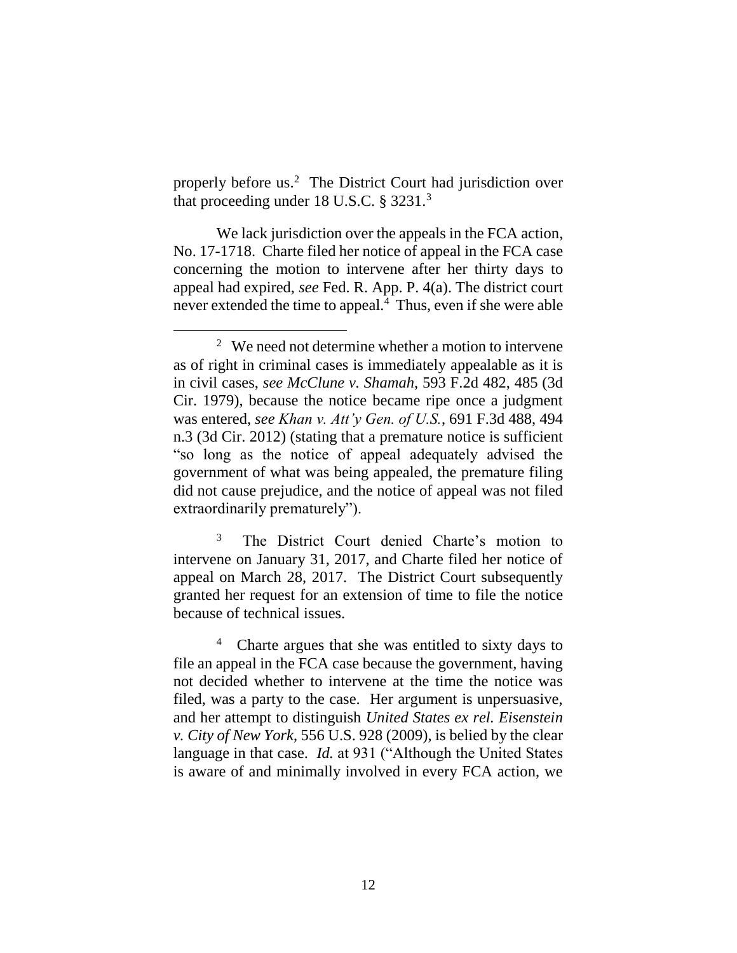properly before us. 2 The District Court had jurisdiction over that proceeding under 18 U.S.C.  $\S 3231.^3$ 

We lack jurisdiction over the appeals in the FCA action, No. 17-1718. Charte filed her notice of appeal in the FCA case concerning the motion to intervene after her thirty days to appeal had expired, *see* Fed. R. App. P. 4(a). The district court never extended the time to appeal.<sup>4</sup> Thus, even if she were able

 $2$  We need not determine whether a motion to intervene as of right in criminal cases is immediately appealable as it is in civil cases, *see McClune v. Shamah*, 593 F.2d 482, 485 (3d Cir. 1979), because the notice became ripe once a judgment was entered, *see Khan v. Att'y Gen. of U.S.*, 691 F.3d 488, 494 n.3 (3d Cir. 2012) (stating that a premature notice is sufficient "so long as the notice of appeal adequately advised the government of what was being appealed, the premature filing did not cause prejudice, and the notice of appeal was not filed extraordinarily prematurely").

<sup>&</sup>lt;sup>3</sup> The District Court denied Charte's motion to intervene on January 31, 2017, and Charte filed her notice of appeal on March 28, 2017. The District Court subsequently granted her request for an extension of time to file the notice because of technical issues.

<sup>4</sup> Charte argues that she was entitled to sixty days to file an appeal in the FCA case because the government, having not decided whether to intervene at the time the notice was filed, was a party to the case. Her argument is unpersuasive, and her attempt to distinguish *United States ex rel. Eisenstein v. City of New York*, 556 U.S. 928 (2009), is belied by the clear language in that case. *Id.* at 931 ("Although the United States is aware of and minimally involved in every FCA action, we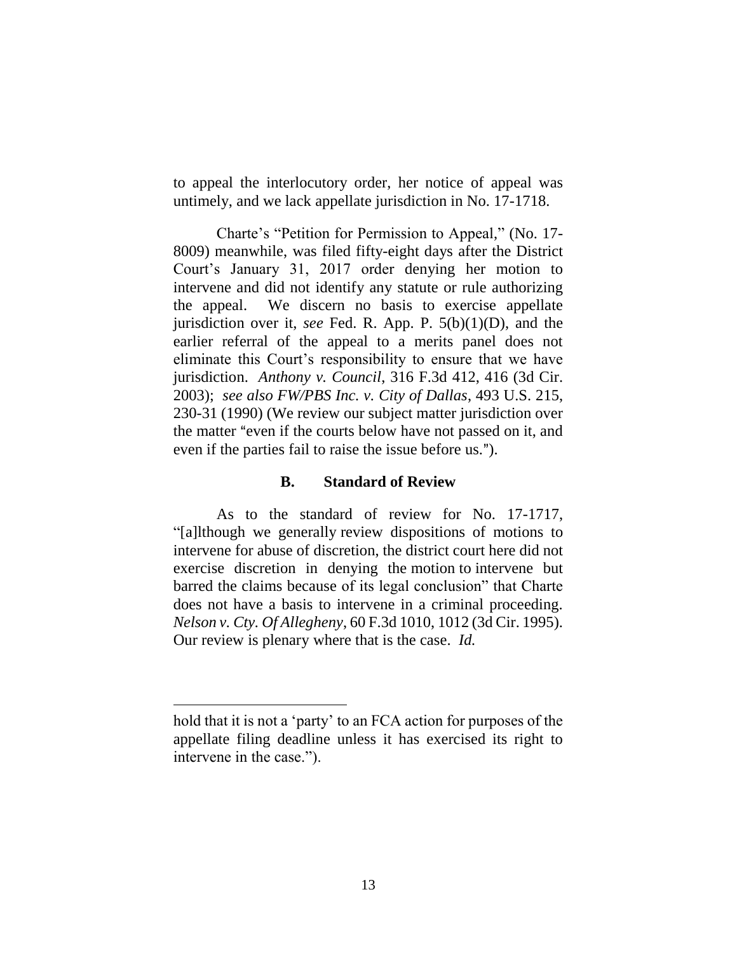to appeal the interlocutory order, her notice of appeal was untimely, and we lack appellate jurisdiction in No. 17-1718.

Charte's "Petition for Permission to Appeal," (No. 17- 8009) meanwhile, was filed fifty-eight days after the District Court's January 31, 2017 order denying her motion to intervene and did not identify any statute or rule authorizing the appeal. We discern no basis to exercise appellate jurisdiction over it, *see* Fed. R. App. P. 5(b)(1)(D), and the earlier referral of the appeal to a merits panel does not eliminate this Court's responsibility to ensure that we have jurisdiction. *Anthony v. Council*, 316 F.3d 412, 416 (3d Cir. 2003); *see also FW/PBS Inc. v. City of Dallas*, 493 U.S. 215, 230-31 (1990) (We review our subject matter jurisdiction over the matter "even if the courts below have not passed on it, and even if the parties fail to raise the issue before us.").

# **B. Standard of Review**

As to the standard of review for No. 17-1717, "[a]lthough we generally review dispositions of motions to intervene for abuse of discretion, the district court here did not exercise discretion in denying the motion to intervene but barred the claims because of its legal conclusion" that Charte does not have a basis to intervene in a criminal proceeding. *Nelson v. Cty. Of Allegheny*, 60 F.3d 1010, 1012 (3d Cir. 1995). Our review is plenary where that is the case. *Id.*

hold that it is not a 'party' to an FCA action for purposes of the appellate filing deadline unless it has exercised its right to intervene in the case.").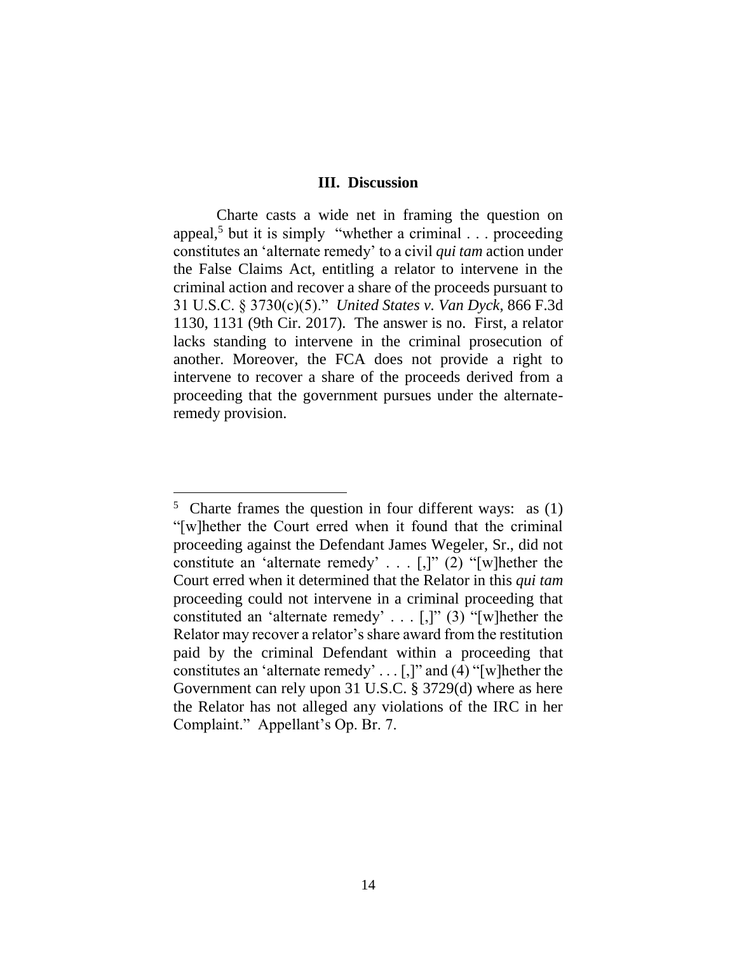#### **III. Discussion**

Charte casts a wide net in framing the question on appeal,<sup>5</sup> but it is simply "whether a criminal  $\ldots$  proceeding constitutes an 'alternate remedy' to a civil *qui tam* action under the False Claims Act, entitling a relator to intervene in the criminal action and recover a share of the proceeds pursuant to 31 U.S.C. § 3730(c)(5)." *United States v. Van Dyck*, 866 F.3d 1130, 1131 (9th Cir. 2017). The answer is no. First, a relator lacks standing to intervene in the criminal prosecution of another. Moreover, the FCA does not provide a right to intervene to recover a share of the proceeds derived from a proceeding that the government pursues under the alternateremedy provision.

 $5$  Charte frames the question in four different ways: as  $(1)$ "[w]hether the Court erred when it found that the criminal proceeding against the Defendant James Wegeler, Sr., did not constitute an 'alternate remedy' . . . [,]" (2) "[w]hether the Court erred when it determined that the Relator in this *qui tam* proceeding could not intervene in a criminal proceeding that constituted an 'alternate remedy' . . . [,]" (3) "[w]hether the Relator may recover a relator's share award from the restitution paid by the criminal Defendant within a proceeding that constitutes an 'alternate remedy' . . . [,]" and (4) "[w]hether the Government can rely upon 31 U.S.C. § 3729(d) where as here the Relator has not alleged any violations of the IRC in her Complaint." Appellant's Op. Br. 7.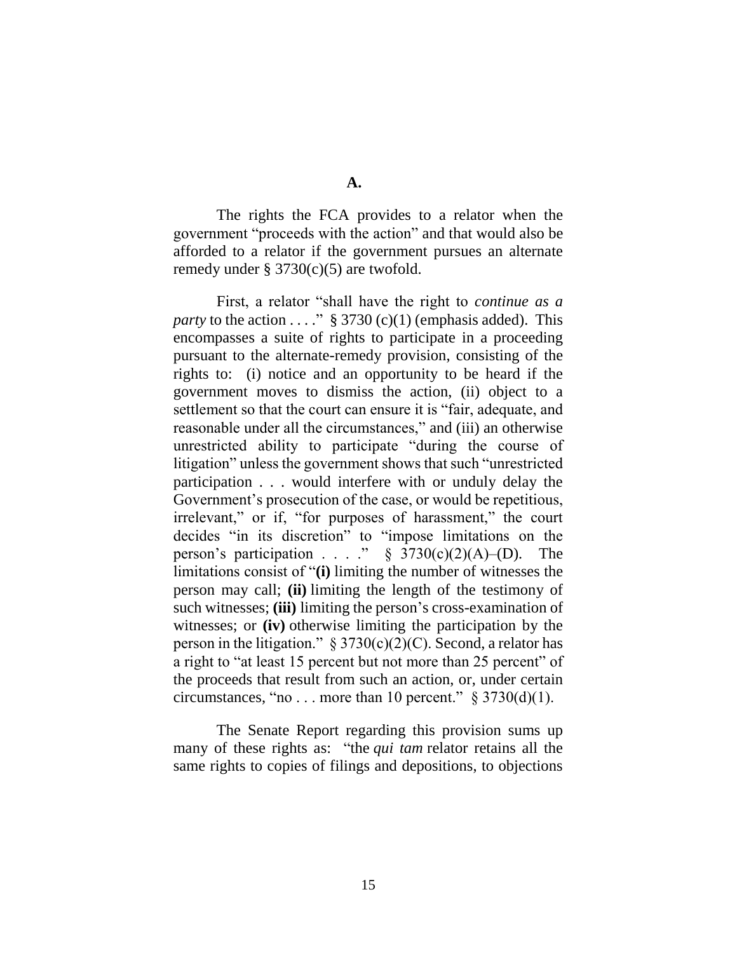**A.**

The rights the FCA provides to a relator when the government "proceeds with the action" and that would also be afforded to a relator if the government pursues an alternate remedy under  $\S 3730(c)(5)$  are twofold.

First, a relator "shall have the right to *continue as a party* to the action . . . . "  $\S 3730$  (c)(1) (emphasis added). This encompasses a suite of rights to participate in a proceeding pursuant to the alternate-remedy provision, consisting of the rights to: (i) notice and an opportunity to be heard if the government moves to dismiss the action, (ii) object to a settlement so that the court can ensure it is "fair, adequate, and reasonable under all the circumstances," and (iii) an otherwise unrestricted ability to participate "during the course of litigation" unless the government shows that such "unrestricted participation . . . would interfere with or unduly delay the Government's prosecution of the case, or would be repetitious, irrelevant," or if, "for purposes of harassment," the court decides "in its discretion" to "impose limitations on the person's participation . . . . "  $\S$  3730(c)(2)(A)–(D). The limitations consist of "**(i)** limiting the number of witnesses the person may call; **(ii)** limiting the length of the testimony of such witnesses; **(iii)** limiting the person's cross-examination of witnesses; or **(iv)** otherwise limiting the participation by the person in the litigation."  $\S 3730(c)(2)(C)$ . Second, a relator has a right to "at least 15 percent but not more than 25 percent" of the proceeds that result from such an action, or, under certain circumstances, "no . . . more than 10 percent."  $\S 3730(d)(1)$ .

The Senate Report regarding this provision sums up many of these rights as: "the *qui tam* relator retains all the same rights to copies of filings and depositions, to objections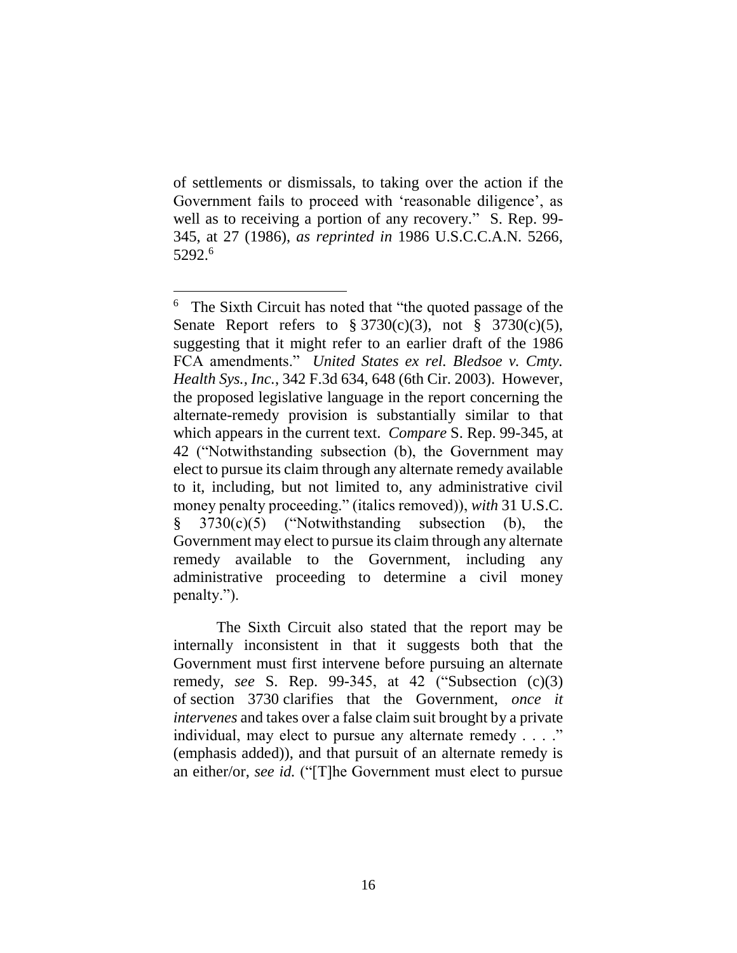of settlements or dismissals, to taking over the action if the Government fails to proceed with 'reasonable diligence', as well as to receiving a portion of any recovery." S. Rep. 99- 345, at 27 (1986), *as reprinted in* 1986 U.S.C.C.A.N. 5266, 5292. 6

 $\overline{a}$ 

The Sixth Circuit also stated that the report may be internally inconsistent in that it suggests both that the Government must first intervene before pursuing an alternate remedy, *see* S. Rep. 99-345, at 42 ("Subsection (c)(3) of section 3730 clarifies that the Government, *once it intervenes* and takes over a false claim suit brought by a private individual, may elect to pursue any alternate remedy . . . ." (emphasis added)), and that pursuit of an alternate remedy is an either/or, *see id.* ("[T]he Government must elect to pursue

<sup>&</sup>lt;sup>6</sup> The Sixth Circuit has noted that "the quoted passage of the Senate Report refers to  $\S 3730(c)(3)$ , not  $\S 3730(c)(5)$ , suggesting that it might refer to an earlier draft of the 1986 FCA amendments." *United States ex rel. Bledsoe v. Cmty. Health Sys., Inc.*, 342 F.3d 634, 648 (6th Cir. 2003). However, the proposed legislative language in the report concerning the alternate-remedy provision is substantially similar to that which appears in the current text. *Compare* S. Rep. 99-345, at 42 ("Notwithstanding subsection (b), the Government may elect to pursue its claim through any alternate remedy available to it, including, but not limited to, any administrative civil money penalty proceeding." (italics removed)), *with* 31 U.S.C. § 3730(c)(5) ("Notwithstanding subsection (b), the Government may elect to pursue its claim through any alternate remedy available to the Government, including any administrative proceeding to determine a civil money penalty.").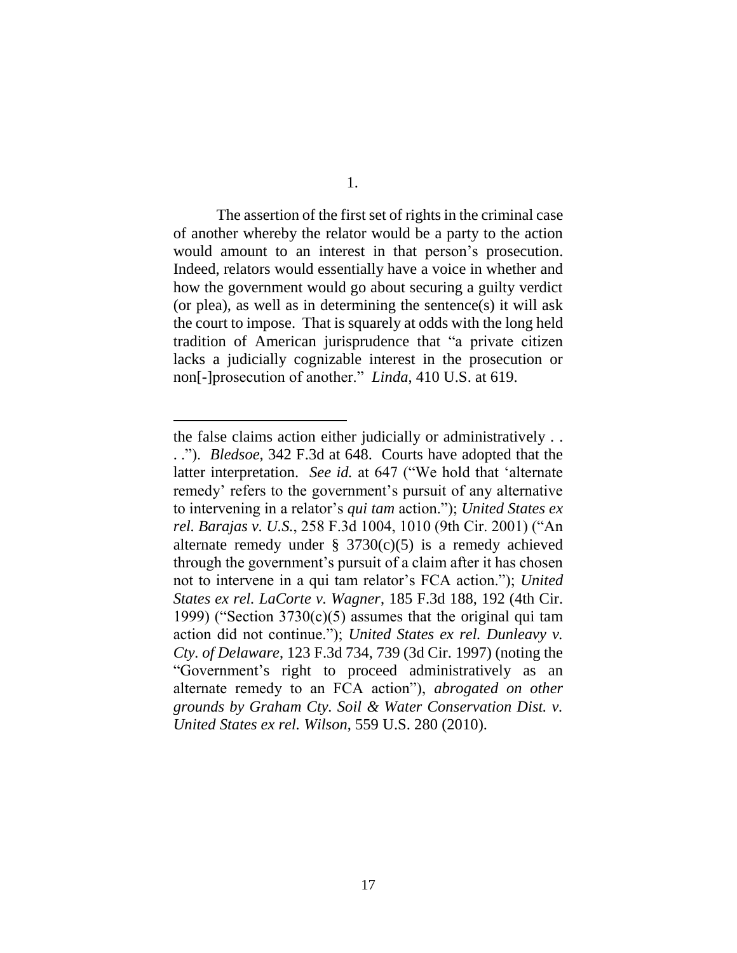The assertion of the first set of rights in the criminal case of another whereby the relator would be a party to the action would amount to an interest in that person's prosecution. Indeed, relators would essentially have a voice in whether and how the government would go about securing a guilty verdict (or plea), as well as in determining the sentence(s) it will ask the court to impose. That is squarely at odds with the long held tradition of American jurisprudence that "a private citizen lacks a judicially cognizable interest in the prosecution or non[-]prosecution of another." *Linda*, 410 U.S. at 619.

the false claims action either judicially or administratively . . . ."). *Bledsoe*, 342 F.3d at 648. Courts have adopted that the latter interpretation. *See id.* at 647 ("We hold that 'alternate remedy' refers to the government's pursuit of any alternative to intervening in a relator's *qui tam* action."); *United States ex rel. Barajas v. U.S.*, 258 F.3d 1004, 1010 (9th Cir. 2001) ("An alternate remedy under  $\S$  3730(c)(5) is a remedy achieved through the government's pursuit of a claim after it has chosen not to intervene in a qui tam relator's FCA action."); *United States ex rel. LaCorte v. Wagner*, 185 F.3d 188, 192 (4th Cir. 1999) ("Section  $3730(c)(5)$  assumes that the original qui tam action did not continue."); *United States ex rel. Dunleavy v. Cty. of Delaware*, 123 F.3d 734, 739 (3d Cir. 1997) (noting the "Government's right to proceed administratively as an alternate remedy to an FCA action"), *abrogated on other grounds by Graham Cty. Soil & Water Conservation Dist. v. United States ex rel. Wilson*, 559 U.S. 280 (2010).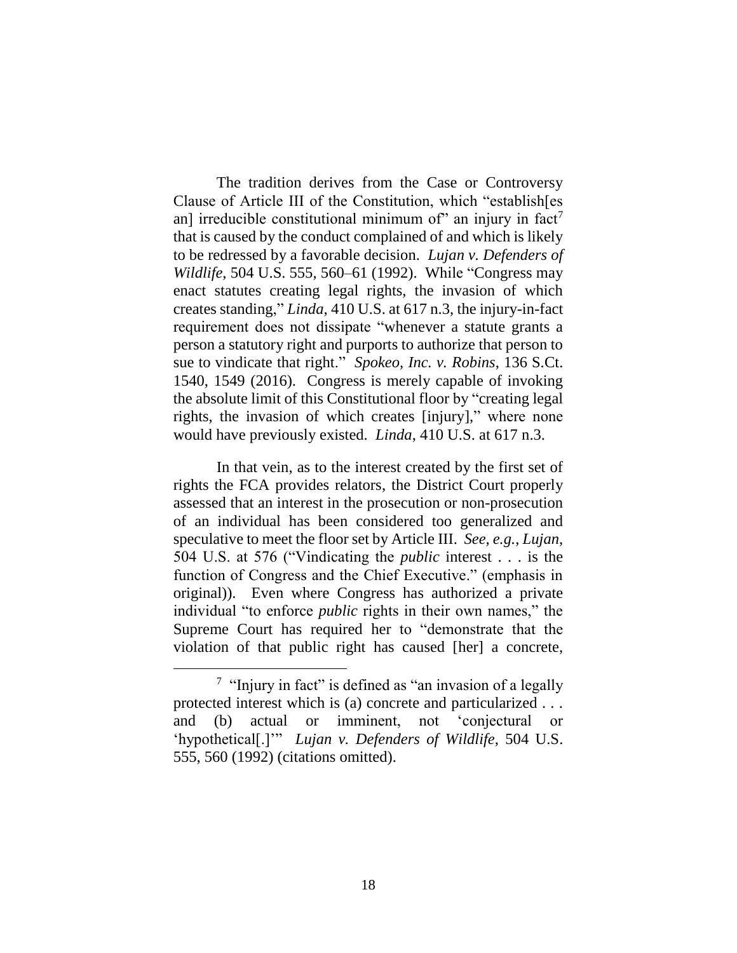The tradition derives from the Case or Controversy Clause of Article III of the Constitution, which "establish[es an] irreducible constitutional minimum of" an injury in fact<sup>7</sup> that is caused by the conduct complained of and which is likely to be redressed by a favorable decision. *Lujan v. Defenders of Wildlife*, 504 U.S. 555, 560–61 (1992). While "Congress may enact statutes creating legal rights, the invasion of which creates standing," *Linda*, 410 U.S. at 617 n.3, the injury-in-fact requirement does not dissipate "whenever a statute grants a person a statutory right and purports to authorize that person to sue to vindicate that right." *Spokeo, Inc. v. Robins*, 136 S.Ct. 1540, 1549 (2016). Congress is merely capable of invoking the absolute limit of this Constitutional floor by "creating legal rights, the invasion of which creates [injury]," where none would have previously existed. *Linda*, 410 U.S. at 617 n.3.

In that vein, as to the interest created by the first set of rights the FCA provides relators, the District Court properly assessed that an interest in the prosecution or non-prosecution of an individual has been considered too generalized and speculative to meet the floor set by Article III. *See, e.g.*, *Lujan*, 504 U.S. at 576 ("Vindicating the *public* interest . . . is the function of Congress and the Chief Executive." (emphasis in original)). Even where Congress has authorized a private individual "to enforce *public* rights in their own names," the Supreme Court has required her to "demonstrate that the violation of that public right has caused [her] a concrete,

<sup>&</sup>lt;sup>7</sup> "Injury in fact" is defined as "an invasion of a legally protected interest which is (a) concrete and particularized . . . and (b) actual or imminent, not 'conjectural or 'hypothetical[.]'" *Lujan v. Defenders of Wildlife*, 504 U.S. 555, 560 (1992) (citations omitted).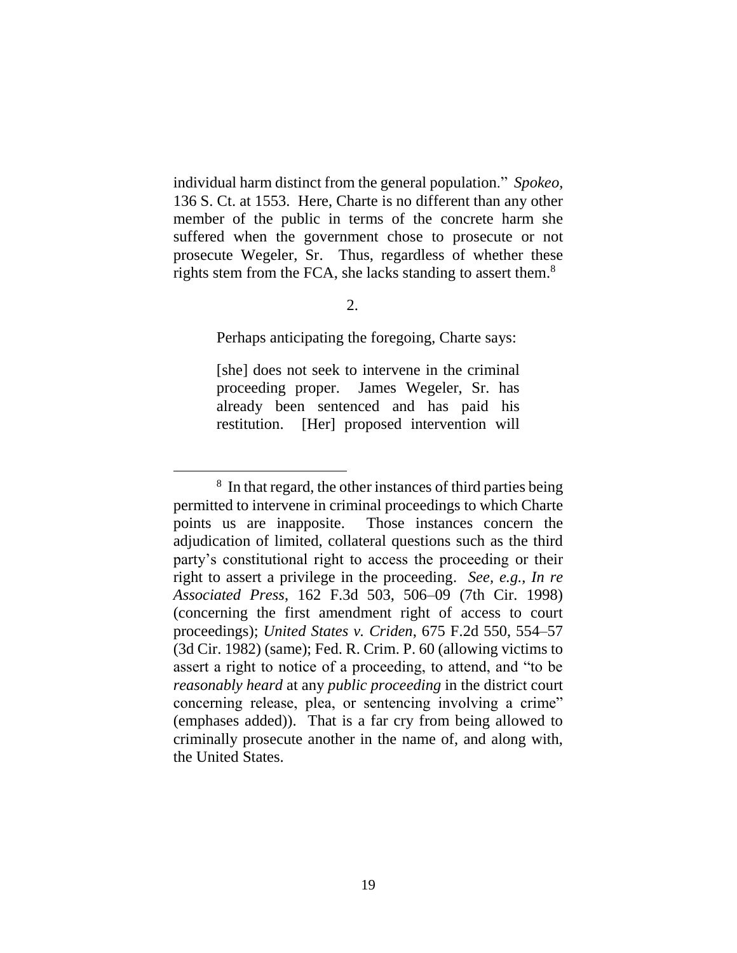individual harm distinct from the general population." *Spokeo*, 136 S. Ct. at 1553. Here, Charte is no different than any other member of the public in terms of the concrete harm she suffered when the government chose to prosecute or not prosecute Wegeler, Sr. Thus, regardless of whether these rights stem from the FCA, she lacks standing to assert them. $8$ 

Perhaps anticipating the foregoing, Charte says:

[she] does not seek to intervene in the criminal proceeding proper. James Wegeler, Sr. has already been sentenced and has paid his restitution. [Her] proposed intervention will

<sup>8</sup> In that regard, the other instances of third parties being permitted to intervene in criminal proceedings to which Charte points us are inapposite. Those instances concern the adjudication of limited, collateral questions such as the third party's constitutional right to access the proceeding or their right to assert a privilege in the proceeding. *See, e.g.*, *In re Associated Press*, 162 F.3d 503, 506–09 (7th Cir. 1998) (concerning the first amendment right of access to court proceedings); *United States v. Criden*, 675 F.2d 550, 554–57 (3d Cir. 1982) (same); Fed. R. Crim. P. 60 (allowing victims to assert a right to notice of a proceeding, to attend, and "to be *reasonably heard* at any *public proceeding* in the district court concerning release, plea, or sentencing involving a crime" (emphases added)). That is a far cry from being allowed to criminally prosecute another in the name of, and along with, the United States.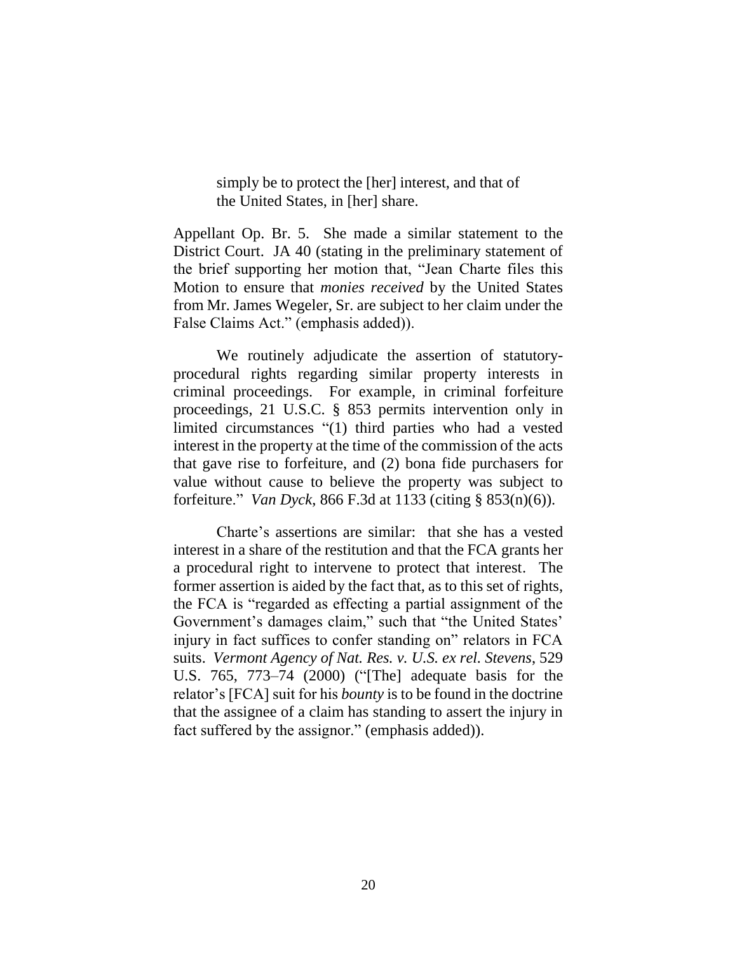simply be to protect the [her] interest, and that of the United States, in [her] share.

Appellant Op. Br. 5. She made a similar statement to the District Court. JA 40 (stating in the preliminary statement of the brief supporting her motion that, "Jean Charte files this Motion to ensure that *monies received* by the United States from Mr. James Wegeler, Sr. are subject to her claim under the False Claims Act." (emphasis added)).

We routinely adjudicate the assertion of statutoryprocedural rights regarding similar property interests in criminal proceedings. For example, in criminal forfeiture proceedings, 21 U.S.C. § 853 permits intervention only in limited circumstances "(1) third parties who had a vested interest in the property at the time of the commission of the acts that gave rise to forfeiture, and (2) bona fide purchasers for value without cause to believe the property was subject to forfeiture." *Van Dyck*, 866 F.3d at 1133 (citing § 853(n)(6)).

Charte's assertions are similar: that she has a vested interest in a share of the restitution and that the FCA grants her a procedural right to intervene to protect that interest. The former assertion is aided by the fact that, as to this set of rights, the FCA is "regarded as effecting a partial assignment of the Government's damages claim," such that "the United States' injury in fact suffices to confer standing on" relators in FCA suits. *Vermont Agency of Nat. Res. v. U.S. ex rel. Stevens*, 529 U.S. 765, 773–74 (2000) ("[The] adequate basis for the relator's [FCA] suit for his *bounty* is to be found in the doctrine that the assignee of a claim has standing to assert the injury in fact suffered by the assignor." (emphasis added)).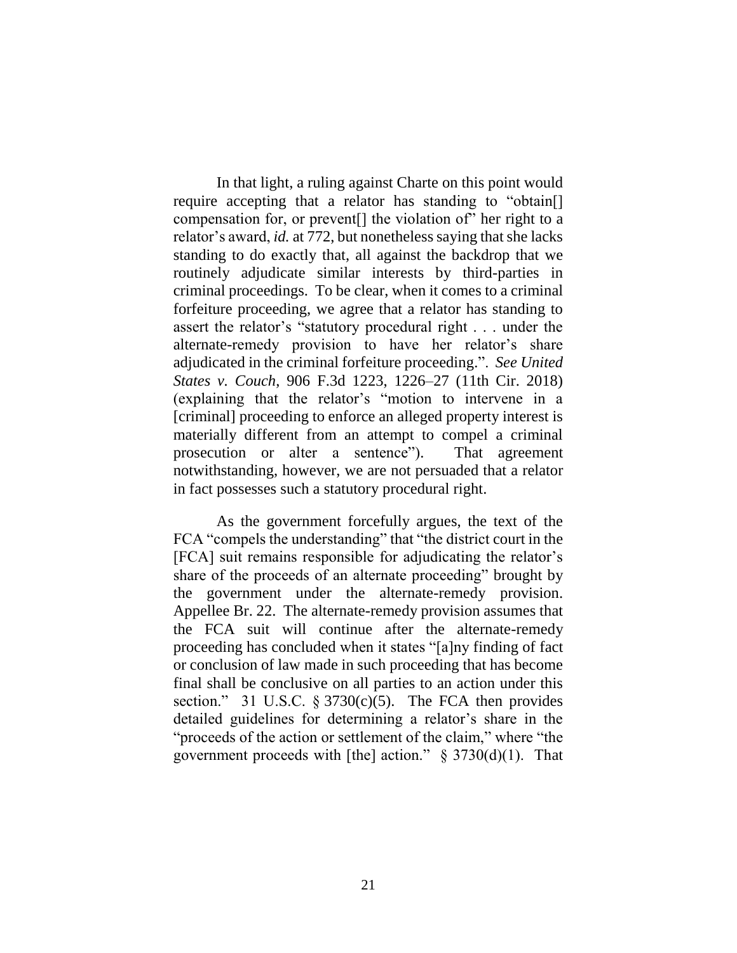In that light, a ruling against Charte on this point would require accepting that a relator has standing to "obtain[] compensation for, or prevent[] the violation of" her right to a relator's award, *id.* at 772, but nonetheless saying that she lacks standing to do exactly that, all against the backdrop that we routinely adjudicate similar interests by third-parties in criminal proceedings. To be clear, when it comes to a criminal forfeiture proceeding, we agree that a relator has standing to assert the relator's "statutory procedural right . . . under the alternate-remedy provision to have her relator's share adjudicated in the criminal forfeiture proceeding.". *See United States v. Couch*, 906 F.3d 1223, 1226–27 (11th Cir. 2018) (explaining that the relator's "motion to intervene in a [criminal] proceeding to enforce an alleged property interest is materially different from an attempt to compel a criminal prosecution or alter a sentence"). That agreement notwithstanding, however, we are not persuaded that a relator in fact possesses such a statutory procedural right.

As the government forcefully argues, the text of the FCA "compels the understanding" that "the district court in the [FCA] suit remains responsible for adjudicating the relator's share of the proceeds of an alternate proceeding" brought by the government under the alternate-remedy provision. Appellee Br. 22. The alternate-remedy provision assumes that the FCA suit will continue after the alternate-remedy proceeding has concluded when it states "[a]ny finding of fact or conclusion of law made in such proceeding that has become final shall be conclusive on all parties to an action under this section." 31 U.S.C.  $\S 3730(c)(5)$ . The FCA then provides detailed guidelines for determining a relator's share in the "proceeds of the action or settlement of the claim," where "the government proceeds with [the] action."  $\S$  3730(d)(1). That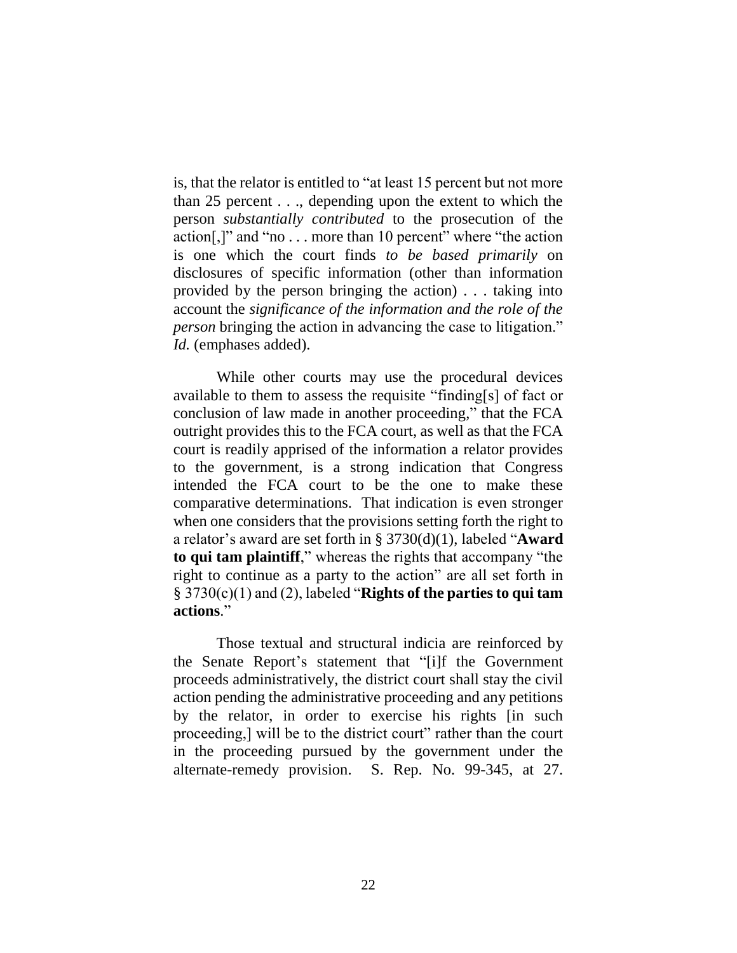is, that the relator is entitled to "at least 15 percent but not more than 25 percent . . ., depending upon the extent to which the person *substantially contributed* to the prosecution of the action[,]" and "no . . . more than 10 percent" where "the action is one which the court finds *to be based primarily* on disclosures of specific information (other than information provided by the person bringing the action) . . . taking into account the *significance of the information and the role of the person* bringing the action in advancing the case to litigation." *Id.* (emphases added).

While other courts may use the procedural devices available to them to assess the requisite "finding[s] of fact or conclusion of law made in another proceeding," that the FCA outright provides this to the FCA court, as well as that the FCA court is readily apprised of the information a relator provides to the government, is a strong indication that Congress intended the FCA court to be the one to make these comparative determinations. That indication is even stronger when one considers that the provisions setting forth the right to a relator's award are set forth in § 3730(d)(1), labeled "**Award to qui tam plaintiff**," whereas the rights that accompany "the right to continue as a party to the action" are all set forth in § 3730(c)(1) and (2), labeled "**Rights of the parties to qui tam actions**."

Those textual and structural indicia are reinforced by the Senate Report's statement that "[i]f the Government proceeds administratively, the district court shall stay the civil action pending the administrative proceeding and any petitions by the relator, in order to exercise his rights [in such proceeding,] will be to the district court" rather than the court in the proceeding pursued by the government under the alternate-remedy provision. S. Rep. No. 99-345, at 27.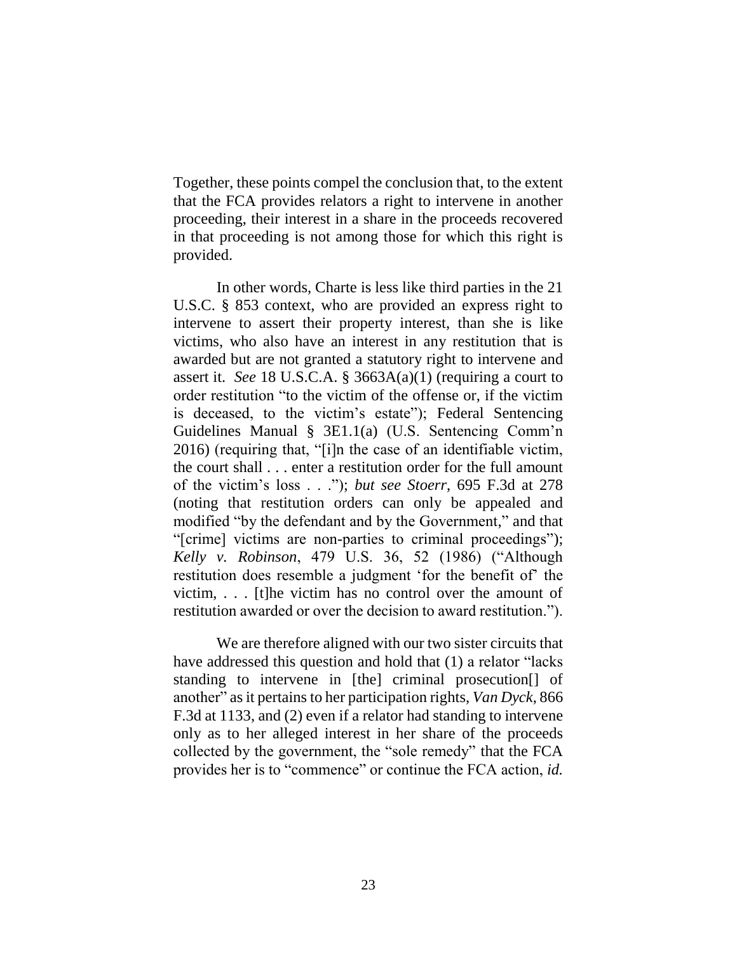Together, these points compel the conclusion that, to the extent that the FCA provides relators a right to intervene in another proceeding, their interest in a share in the proceeds recovered in that proceeding is not among those for which this right is provided.

In other words, Charte is less like third parties in the 21 U.S.C. § 853 context, who are provided an express right to intervene to assert their property interest, than she is like victims, who also have an interest in any restitution that is awarded but are not granted a statutory right to intervene and assert it. *See* 18 U.S.C.A. § 3663A(a)(1) (requiring a court to order restitution "to the victim of the offense or, if the victim is deceased, to the victim's estate"); Federal Sentencing Guidelines Manual § 3E1.1(a) (U.S. Sentencing Comm'n 2016) (requiring that, "[i]n the case of an identifiable victim, the court shall . . . enter a restitution order for the full amount of the victim's loss . . ."); *but see Stoerr*, 695 F.3d at 278 (noting that restitution orders can only be appealed and modified "by the defendant and by the Government," and that "[crime] victims are non-parties to criminal proceedings"); *Kelly v. Robinson*, 479 U.S. 36, 52 (1986) ("Although restitution does resemble a judgment 'for the benefit of' the victim, . . . [t]he victim has no control over the amount of restitution awarded or over the decision to award restitution.").

We are therefore aligned with our two sister circuits that have addressed this question and hold that (1) a relator "lacks standing to intervene in [the] criminal prosecution[] of another" as it pertains to her participation rights, *Van Dyck*, 866 F.3d at 1133, and (2) even if a relator had standing to intervene only as to her alleged interest in her share of the proceeds collected by the government, the "sole remedy" that the FCA provides her is to "commence" or continue the FCA action, *id.*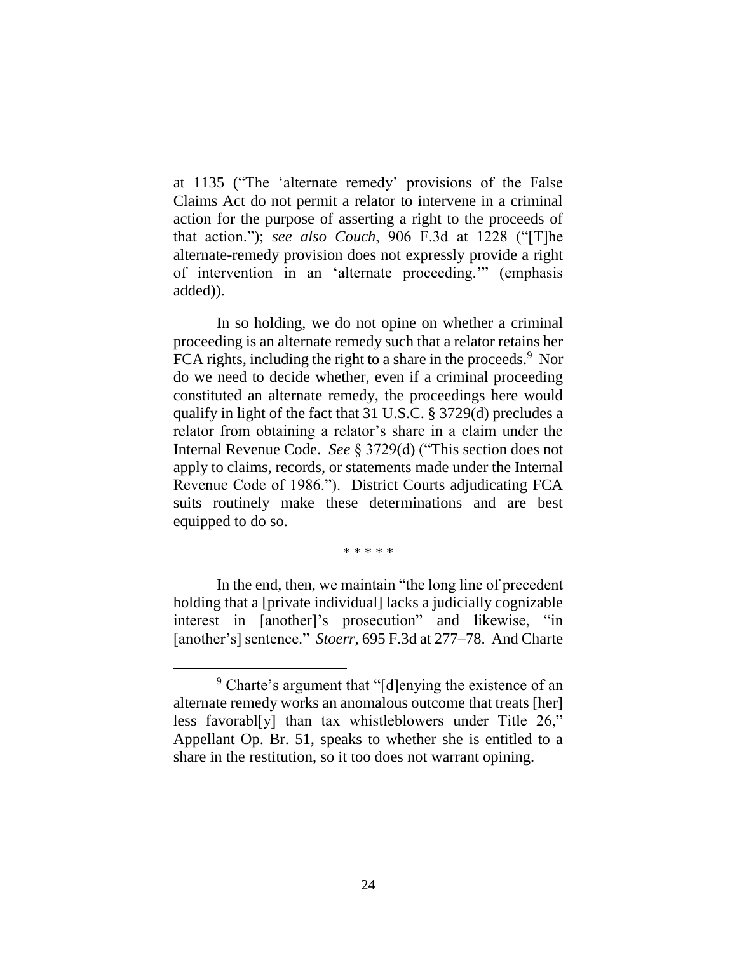at 1135 ("The 'alternate remedy' provisions of the False Claims Act do not permit a relator to intervene in a criminal action for the purpose of asserting a right to the proceeds of that action."); *see also Couch*, 906 F.3d at 1228 ("[T]he alternate-remedy provision does not expressly provide a right of intervention in an 'alternate proceeding.'" (emphasis added)).

In so holding, we do not opine on whether a criminal proceeding is an alternate remedy such that a relator retains her FCA rights, including the right to a share in the proceeds.<sup>9</sup> Nor do we need to decide whether, even if a criminal proceeding constituted an alternate remedy, the proceedings here would qualify in light of the fact that 31 U.S.C. § 3729(d) precludes a relator from obtaining a relator's share in a claim under the Internal Revenue Code. *See* § 3729(d) ("This section does not apply to claims, records, or statements made under the Internal Revenue Code of 1986."). District Courts adjudicating FCA suits routinely make these determinations and are best equipped to do so.

\* \* \* \* \*

In the end, then, we maintain "the long line of precedent holding that a [private individual] lacks a judicially cognizable interest in [another]'s prosecution" and likewise, "in [another's] sentence." *Stoerr*, 695 F.3d at 277–78. And Charte

<sup>&</sup>lt;sup>9</sup> Charte's argument that "[d]enying the existence of an alternate remedy works an anomalous outcome that treats [her] less favorabl[y] than tax whistleblowers under Title 26," Appellant Op. Br. 51, speaks to whether she is entitled to a share in the restitution, so it too does not warrant opining.